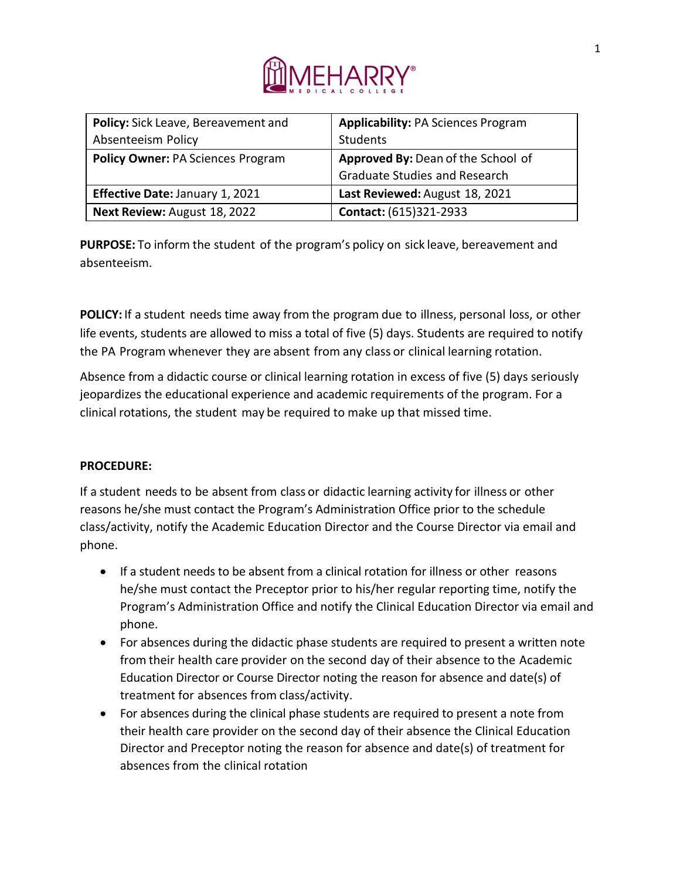

| Policy: Sick Leave, Bereavement and      | <b>Applicability: PA Sciences Program</b> |
|------------------------------------------|-------------------------------------------|
| Absenteeism Policy                       | Students                                  |
| <b>Policy Owner: PA Sciences Program</b> | Approved By: Dean of the School of        |
|                                          | <b>Graduate Studies and Research</b>      |
| <b>Effective Date: January 1, 2021</b>   | Last Reviewed: August 18, 2021            |
| Next Review: August 18, 2022             | Contact: (615)321-2933                    |

**PURPOSE:** To inform the student of the program's policy on sick leave, bereavement and absenteeism.

**POLICY:** If a student needs time away from the program due to illness, personal loss, or other life events, students are allowed to miss a total of five (5) days. Students are required to notify the PA Program whenever they are absent from any class or clinical learning rotation.

Absence from a didactic course or clinical learning rotation in excess of five (5) days seriously jeopardizes the educational experience and academic requirements of the program. For a clinical rotations, the student may be required to make up that missed time.

## **PROCEDURE:**

If a student needs to be absent from class or didactic learning activity for illness or other reasons he/she must contact the Program's Administration Office prior to the schedule class/activity, notify the Academic Education Director and the Course Director via email and phone.

- If a student needs to be absent from a clinical rotation for illness or other reasons he/she must contact the Preceptor prior to his/her regular reporting time, notify the Program's Administration Office and notify the Clinical Education Director via email and phone.
- For absences during the didactic phase students are required to present a written note from their health care provider on the second day of their absence to the Academic Education Director or Course Director noting the reason for absence and date(s) of treatment for absences from class/activity.
- For absences during the clinical phase students are required to present a note from their health care provider on the second day of their absence the Clinical Education Director and Preceptor noting the reason for absence and date(s) of treatment for absences from the clinical rotation